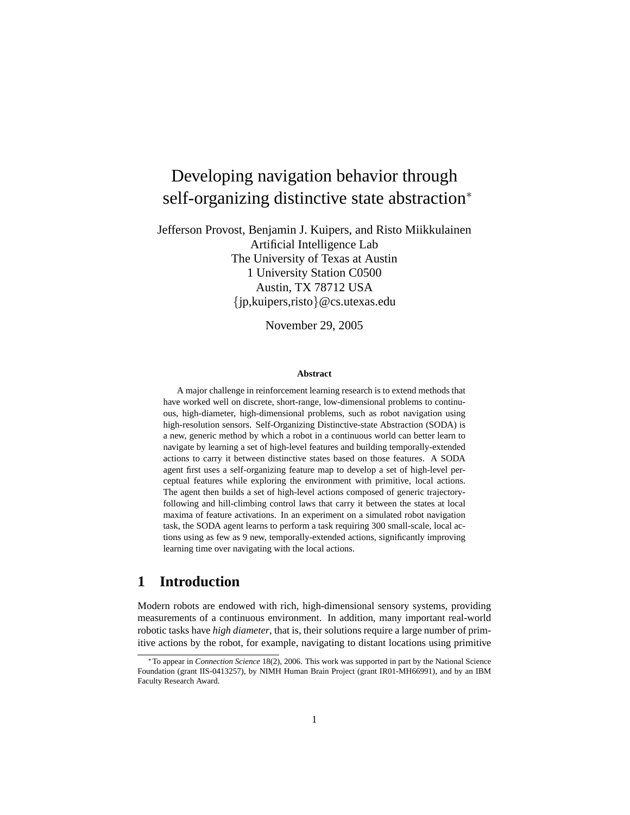# Developing navigation behavior through self-organizing distinctive state abstraction<sup>\*</sup>

Jefferson Provost, Benjamin J. Kuipers, and Risto Miikkulainen Artificial Intelligence Lab The University of Texas at Austin 1 University Station C0500 Austin, TX 78712 USA {jp,kuipers,risto}@cs.utexas.edu

November 29, 2005

#### **Abstract**

A major challenge in reinforcement learning research is to extend methods that have worked well on discrete, short-range, low-dimensional problems to continuous, high-diameter, high-dimensional problems, such as robot navigation using high-resolution sensors. Self-Organizing Distinctive-state Abstraction (SODA) is a new, generic method by which a robot in a continuous world can better learn to navigate by learning a set of high-level features and building temporally-extended actions to carry it between distinctive states based on those features. A SODA agent first uses a self-organizing feature map to develop a set of high-level perceptual features while exploring the environment with primitive, local actions. The agent then builds a set of high-level actions composed of generic trajectoryfollowing and hill-climbing control laws that carry it between the states at local maxima of feature activations. In an experiment on a simulated robot navigation task, the SODA agent learns to perform a task requiring 300 small-scale, local actions using as few as 9 new, temporally-extended actions, significantly improving learning time over navigating with the local actions.

# **1 Introduction**

Modern robots are endowed with rich, high-dimensional sensory systems, providing measurements of a continuous environment. In addition, many important real-world robotic tasks have *high diameter*, that is, their solutions require a large number of primitive actions by the robot, for example, navigating to distant locations using primitive

<sup>∗</sup>To appear in *Connection Science* 18(2), 2006. This work was supported in part by the National Science Foundation (grant IIS-0413257), by NIMH Human Brain Project (grant IR01-MH66991), and by an IBM Faculty Research Award.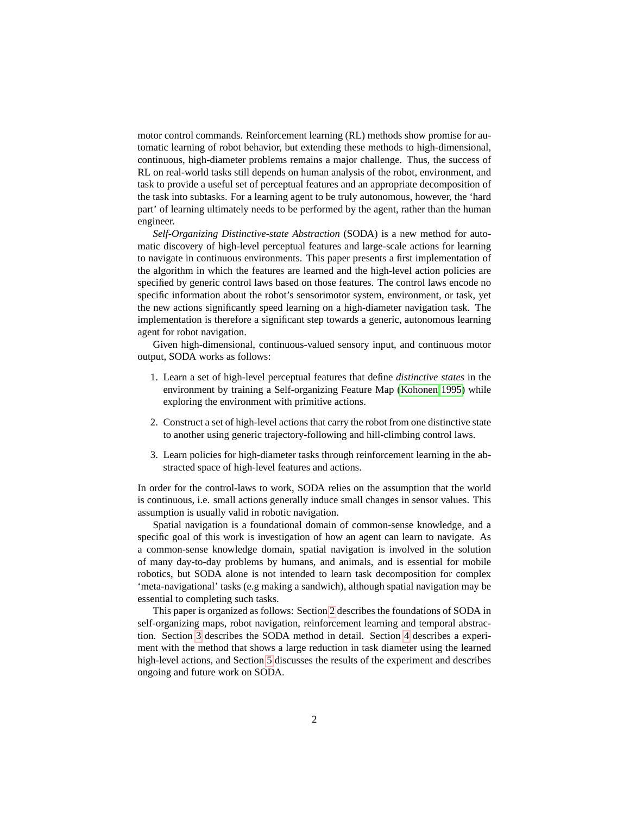motor control commands. Reinforcement learning (RL) methods show promise for automatic learning of robot behavior, but extending these methods to high-dimensional, continuous, high-diameter problems remains a major challenge. Thus, the success of RL on real-world tasks still depends on human analysis of the robot, environment, and task to provide a useful set of perceptual features and an appropriate decomposition of the task into subtasks. For a learning agent to be truly autonomous, however, the 'hard part' of learning ultimately needs to be performed by the agent, rather than the human engineer.

*Self-Organizing Distinctive-state Abstraction* (SODA) is a new method for automatic discovery of high-level perceptual features and large-scale actions for learning to navigate in continuous environments. This paper presents a first implementation of the algorithm in which the features are learned and the high-level action policies are specified by generic control laws based on those features. The control laws encode no specific information about the robot's sensorimotor system, environment, or task, yet the new actions significantly speed learning on a high-diameter navigation task. The implementation is therefore a significant step towards a generic, autonomous learning agent for robot navigation.

Given high-dimensional, continuous-valued sensory input, and continuous motor output, SODA works as follows:

- 1. Learn a set of high-level perceptual features that define *distinctive states* in the environment by training a Self-organizing Feature Map [\(Kohonen 1995\)](#page-15-0) while exploring the environment with primitive actions.
- 2. Construct a set of high-level actions that carry the robot from one distinctive state to another using generic trajectory-following and hill-climbing control laws.
- 3. Learn policies for high-diameter tasks through reinforcement learning in the abstracted space of high-level features and actions.

In order for the control-laws to work, SODA relies on the assumption that the world is continuous, i.e. small actions generally induce small changes in sensor values. This assumption is usually valid in robotic navigation.

Spatial navigation is a foundational domain of common-sense knowledge, and a specific goal of this work is investigation of how an agent can learn to navigate. As a common-sense knowledge domain, spatial navigation is involved in the solution of many day-to-day problems by humans, and animals, and is essential for mobile robotics, but SODA alone is not intended to learn task decomposition for complex 'meta-navigational' tasks (e.g making a sandwich), although spatial navigation may be essential to completing such tasks.

This paper is organized as follows: Section [2](#page-2-0) describes the foundations of SODA in self-organizing maps, robot navigation, reinforcement learning and temporal abstraction. Section [3](#page-5-0) describes the SODA method in detail. Section [4](#page-7-0) describes a experiment with the method that shows a large reduction in task diameter using the learned high-level actions, and Section [5](#page-10-0) discusses the results of the experiment and describes ongoing and future work on SODA.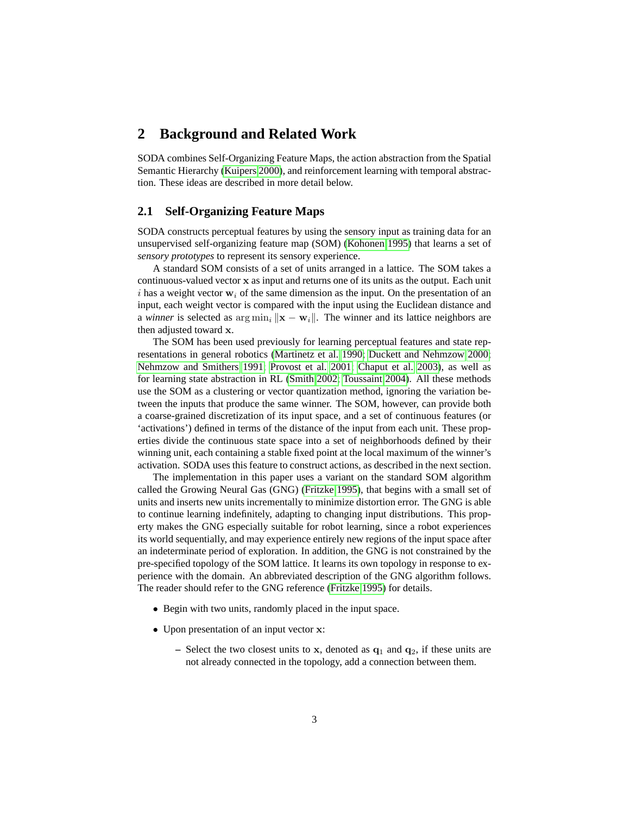### <span id="page-2-0"></span>**2 Background and Related Work**

SODA combines Self-Organizing Feature Maps, the action abstraction from the Spatial Semantic Hierarchy [\(Kuipers 2000\)](#page-15-1), and reinforcement learning with temporal abstraction. These ideas are described in more detail below.

### **2.1 Self-Organizing Feature Maps**

SODA constructs perceptual features by using the sensory input as training data for an unsupervised self-organizing feature map (SOM) [\(Kohonen 1995\)](#page-15-0) that learns a set of *sensory prototypes* to represent its sensory experience.

A standard SOM consists of a set of units arranged in a lattice. The SOM takes a continuous-valued vector x as input and returns one of its units as the output. Each unit i has a weight vector  $w_i$  of the same dimension as the input. On the presentation of an input, each weight vector is compared with the input using the Euclidean distance and a *winner* is selected as  $\arg \min_i ||\mathbf{x} - \mathbf{w}_i||$ . The winner and its lattice neighbors are then adjusted toward x.

The SOM has been used previously for learning perceptual features and state representations in general robotics [\(Martinetz et al. 1990;](#page-15-2) [Duckett and Nehmzow 2000;](#page-15-3) [Nehmzow and Smithers 1991;](#page-15-4) [Provost et al. 2001;](#page-15-5) [Chaput et al. 2003\)](#page-14-0), as well as for learning state abstraction in RL [\(Smith 2002;](#page-16-0) [Toussaint 2004\)](#page-16-1). All these methods use the SOM as a clustering or vector quantization method, ignoring the variation between the inputs that produce the same winner. The SOM, however, can provide both a coarse-grained discretization of its input space, and a set of continuous features (or 'activations') defined in terms of the distance of the input from each unit. These properties divide the continuous state space into a set of neighborhoods defined by their winning unit, each containing a stable fixed point at the local maximum of the winner's activation. SODA uses this feature to construct actions, as described in the next section.

The implementation in this paper uses a variant on the standard SOM algorithm called the Growing Neural Gas (GNG) [\(Fritzke 1995\)](#page-15-6), that begins with a small set of units and inserts new units incrementally to minimize distortion error. The GNG is able to continue learning indefinitely, adapting to changing input distributions. This property makes the GNG especially suitable for robot learning, since a robot experiences its world sequentially, and may experience entirely new regions of the input space after an indeterminate period of exploration. In addition, the GNG is not constrained by the pre-specified topology of the SOM lattice. It learns its own topology in response to experience with the domain. An abbreviated description of the GNG algorithm follows. The reader should refer to the GNG reference [\(Fritzke 1995\)](#page-15-6) for details.

- Begin with two units, randomly placed in the input space.
- Upon presentation of an input vector **x**:
	- Select the two closest units to x, denoted as  $q_1$  and  $q_2$ , if these units are not already connected in the topology, add a connection between them.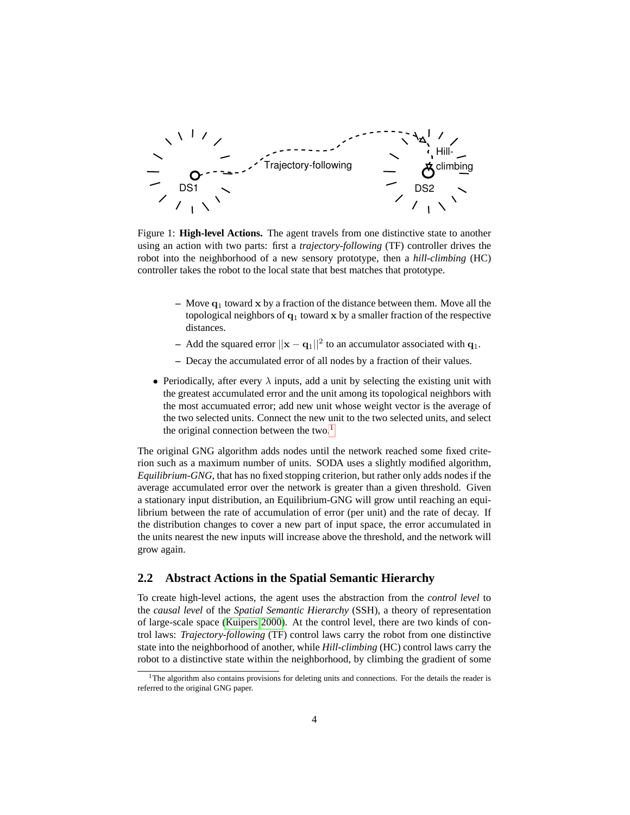

<span id="page-3-1"></span>Figure 1: **High-level Actions.** The agent travels from one distinctive state to another using an action with two parts: first a *trajectory-following* (TF) controller drives the robot into the neighborhood of a new sensory prototype, then a *hill-climbing* (HC) controller takes the robot to the local state that best matches that prototype.

- **–** Move q<sup>1</sup> toward x by a fraction of the distance between them. Move all the topological neighbors of  $q_1$  toward x by a smaller fraction of the respective distances.
- **–** Add the squared error  $||\mathbf{x} \mathbf{q}_1||^2$  to an accumulator associated with  $\mathbf{q}_1$ .
- **–** Decay the accumulated error of all nodes by a fraction of their values.
- Periodically, after every  $\lambda$  inputs, add a unit by selecting the existing unit with the greatest accumulated error and the unit among its topological neighbors with the most accumuated error; add new unit whose weight vector is the average of the two selected units. Connect the new unit to the two selected units, and select the original connection between the two. $<sup>1</sup>$  $<sup>1</sup>$  $<sup>1</sup>$ </sup>

The original GNG algorithm adds nodes until the network reached some fixed criterion such as a maximum number of units. SODA uses a slightly modified algorithm, *Equilibrium-GNG*, that has no fixed stopping criterion, but rather only adds nodes if the average accumulated error over the network is greater than a given threshold. Given a stationary input distribution, an Equilibrium-GNG will grow until reaching an equilibrium between the rate of accumulation of error (per unit) and the rate of decay. If the distribution changes to cover a new part of input space, the error accumulated in the units nearest the new inputs will increase above the threshold, and the network will grow again.

### **2.2 Abstract Actions in the Spatial Semantic Hierarchy**

To create high-level actions, the agent uses the abstraction from the *control level* to the *causal level* of the *Spatial Semantic Hierarchy* (SSH), a theory of representation of large-scale space [\(Kuipers 2000\)](#page-15-1). At the control level, there are two kinds of control laws: *Trajectory-following* (TF) control laws carry the robot from one distinctive state into the neighborhood of another, while *Hill-climbing* (HC) control laws carry the robot to a distinctive state within the neighborhood, by climbing the gradient of some

<span id="page-3-0"></span><sup>&</sup>lt;sup>1</sup>The algorithm also contains provisions for deleting units and connections. For the details the reader is referred to the original GNG paper.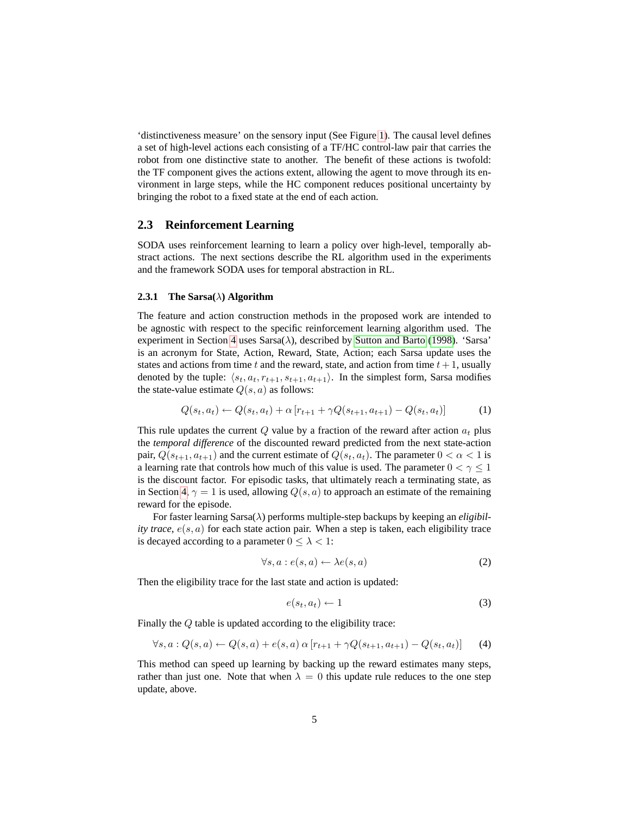'distinctiveness measure' on the sensory input (See Figure [1\)](#page-3-1). The causal level defines a set of high-level actions each consisting of a TF/HC control-law pair that carries the robot from one distinctive state to another. The benefit of these actions is twofold: the TF component gives the actions extent, allowing the agent to move through its environment in large steps, while the HC component reduces positional uncertainty by bringing the robot to a fixed state at the end of each action.

### **2.3 Reinforcement Learning**

SODA uses reinforcement learning to learn a policy over high-level, temporally abstract actions. The next sections describe the RL algorithm used in the experiments and the framework SODA uses for temporal abstraction in RL.

#### <span id="page-4-0"></span>**2.3.1 The Sarsa(**λ**) Algorithm**

The feature and action construction methods in the proposed work are intended to be agnostic with respect to the specific reinforcement learning algorithm used. The experiment in Section [4](#page-7-0) uses  $Sarsa(\lambda)$ , described by [Sutton and Barto](#page-16-2) [\(1998\)](#page-16-2). 'Sarsa' is an acronym for State, Action, Reward, State, Action; each Sarsa update uses the states and actions from time t and the reward, state, and action from time  $t+1$ , usually denoted by the tuple:  $\langle s_t, a_t, r_{t+1}, s_{t+1}, a_{t+1}\rangle$ . In the simplest form, Sarsa modifies the state-value estimate  $Q(s, a)$  as follows:

<span id="page-4-1"></span>
$$
Q(s_t, a_t) \leftarrow Q(s_t, a_t) + \alpha \left[ r_{t+1} + \gamma Q(s_{t+1}, a_{t+1}) - Q(s_t, a_t) \right] \tag{1}
$$

This rule updates the current  $Q$  value by a fraction of the reward after action  $a_t$  plus the *temporal difference* of the discounted reward predicted from the next state-action pair,  $Q(s_{t+1}, a_{t+1})$  and the current estimate of  $Q(s_t, a_t)$ . The parameter  $0 < \alpha < 1$  is a learning rate that controls how much of this value is used. The parameter  $0 < \gamma \leq 1$ is the discount factor. For episodic tasks, that ultimately reach a terminating state, as in Section [4,](#page-7-0)  $\gamma = 1$  is used, allowing  $Q(s, a)$  to approach an estimate of the remaining reward for the episode.

For faster learning Sarsa(λ) performs multiple-step backups by keeping an *eligibility trace*,  $e(s, a)$  for each state action pair. When a step is taken, each eligibility trace is decayed according to a parameter  $0 \leq \lambda < 1$ :

$$
\forall s, a : e(s, a) \leftarrow \lambda e(s, a) \tag{2}
$$

Then the eligibility trace for the last state and action is updated:

$$
e(s_t, a_t) \leftarrow 1 \tag{3}
$$

Finally the Q table is updated according to the eligibility trace:

<span id="page-4-2"></span>
$$
\forall s, a : Q(s, a) \leftarrow Q(s, a) + e(s, a) \alpha [r_{t+1} + \gamma Q(s_{t+1}, a_{t+1}) - Q(s_t, a_t)] \tag{4}
$$

This method can speed up learning by backing up the reward estimates many steps, rather than just one. Note that when  $\lambda = 0$  this update rule reduces to the one step update, above.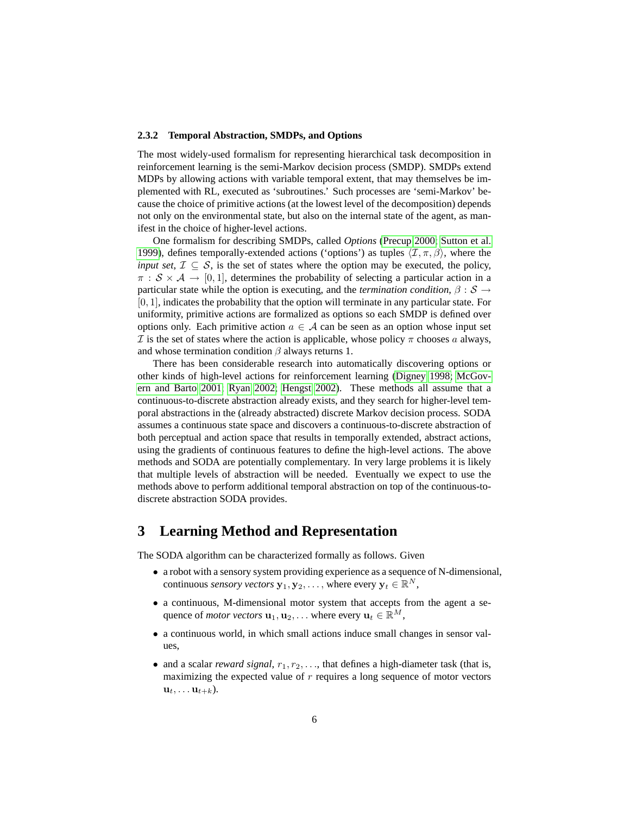#### <span id="page-5-1"></span>**2.3.2 Temporal Abstraction, SMDPs, and Options**

The most widely-used formalism for representing hierarchical task decomposition in reinforcement learning is the semi-Markov decision process (SMDP). SMDPs extend MDPs by allowing actions with variable temporal extent, that may themselves be implemented with RL, executed as 'subroutines.' Such processes are 'semi-Markov' because the choice of primitive actions (at the lowest level of the decomposition) depends not only on the environmental state, but also on the internal state of the agent, as manifest in the choice of higher-level actions.

One formalism for describing SMDPs, called *Options* [\(Precup 2000;](#page-15-7) [Sutton et al.](#page-16-3) [1999\)](#page-16-3), defines temporally-extended actions ('options') as tuples  $\langle \mathcal{I}, \pi, \beta \rangle$ , where the *input set*,  $\mathcal{I} \subseteq \mathcal{S}$ , is the set of states where the option may be executed, the policy,  $\pi : \mathcal{S} \times \mathcal{A} \rightarrow [0, 1]$ , determines the probability of selecting a particular action in a particular state while the option is executing, and the *termination condition*,  $\beta : \mathcal{S} \rightarrow$  $[0, 1]$ , indicates the probability that the option will terminate in any particular state. For uniformity, primitive actions are formalized as options so each SMDP is defined over options only. Each primitive action  $a \in \mathcal{A}$  can be seen as an option whose input set  $\mathcal I$  is the set of states where the action is applicable, whose policy  $\pi$  chooses a always, and whose termination condition  $\beta$  always returns 1.

There has been considerable research into automatically discovering options or other kinds of high-level actions for reinforcement learning [\(Digney 1998;](#page-14-1) [McGov](#page-15-8)[ern and Barto 2001;](#page-15-8) [Ryan 2002;](#page-15-9) [Hengst 2002\)](#page-15-10). These methods all assume that a continuous-to-discrete abstraction already exists, and they search for higher-level temporal abstractions in the (already abstracted) discrete Markov decision process. SODA assumes a continuous state space and discovers a continuous-to-discrete abstraction of both perceptual and action space that results in temporally extended, abstract actions, using the gradients of continuous features to define the high-level actions. The above methods and SODA are potentially complementary. In very large problems it is likely that multiple levels of abstraction will be needed. Eventually we expect to use the methods above to perform additional temporal abstraction on top of the continuous-todiscrete abstraction SODA provides.

### <span id="page-5-0"></span>**3 Learning Method and Representation**

The SODA algorithm can be characterized formally as follows. Given

- a robot with a sensory system providing experience as a sequence of N-dimensional, continuous *sensory vectors*  $\mathbf{y}_1, \mathbf{y}_2, \ldots$ , where every  $\mathbf{y}_t \in \mathbb{R}^N$ ,
- a continuous, M-dimensional motor system that accepts from the agent a sequence of *motor vectors*  $\mathbf{u}_1, \mathbf{u}_2, \dots$  where every  $\mathbf{u}_t \in \mathbb{R}^M$ ,
- a continuous world, in which small actions induce small changes in sensor values,
- and a scalar *reward signal*,  $r_1, r_2, \ldots$ , that defines a high-diameter task (that is, maximizing the expected value of  $r$  requires a long sequence of motor vectors  $\mathbf{u}_t, \ldots \mathbf{u}_{t+k}$ ).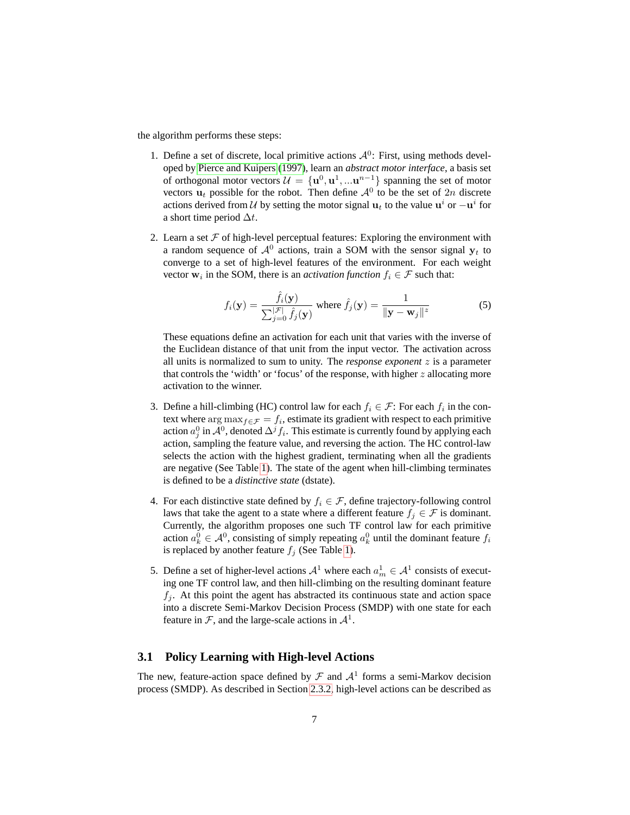the algorithm performs these steps:

- 1. Define a set of discrete, local primitive actions  $A^0$ : First, using methods developed by [Pierce and Kuipers \(1997\)](#page-15-11), learn an *abstract motor interface*, a basis set of orthogonal motor vectors  $\mathcal{U} = {\mathbf{u}^0, \mathbf{u}^1, ... \mathbf{u}^{n-1}}$  spanning the set of motor vectors  $\mathbf{u}_t$  possible for the robot. Then define  $\mathcal{A}^0$  to be the set of  $2n$  discrete actions derived from U by setting the motor signal  $\mathbf{u}_t$  to the value  $\mathbf{u}^i$  or  $-\mathbf{u}^i$  for a short time period  $\Delta t$ .
- 2. Learn a set  $F$  of high-level perceptual features: Exploring the environment with a random sequence of  $A^0$  actions, train a SOM with the sensor signal  $y_t$  to converge to a set of high-level features of the environment. For each weight vector  $w_i$  in the SOM, there is an *activation function*  $f_i \in \mathcal{F}$  such that:

<span id="page-6-0"></span>
$$
f_i(\mathbf{y}) = \frac{\hat{f}_i(\mathbf{y})}{\sum_{j=0}^{|\mathcal{F}|} \hat{f}_j(\mathbf{y})} \text{ where } \hat{f}_j(\mathbf{y}) = \frac{1}{\|\mathbf{y} - \mathbf{w}_j\|^2} \tag{5}
$$

These equations define an activation for each unit that varies with the inverse of the Euclidean distance of that unit from the input vector. The activation across all units is normalized to sum to unity. The *response exponent* z is a parameter that controls the 'width' or 'focus' of the response, with higher  $z$  allocating more activation to the winner.

- 3. Define a hill-climbing (HC) control law for each  $f_i \in \mathcal{F}$ : For each  $f_i$  in the context where  $\argmax_{f \in \mathcal{F}} f =_i$ , estimate its gradient with respect to each primitive action  $a_j^0$  in  $\mathcal{A}^0$ , denoted  $\Delta^j f_i$ . This estimate is currently found by applying each action, sampling the feature value, and reversing the action. The HC control-law selects the action with the highest gradient, terminating when all the gradients are negative (See Table [1\)](#page-7-1). The state of the agent when hill-climbing terminates is defined to be a *distinctive state* (dstate).
- 4. For each distinctive state defined by  $f_i \in \mathcal{F}$ , define trajectory-following control laws that take the agent to a state where a different feature  $f_i \in \mathcal{F}$  is dominant. Currently, the algorithm proposes one such TF control law for each primitive action  $a_k^0 \in A^0$ , consisting of simply repeating  $a_k^0$  until the dominant feature  $f_i$ is replaced by another feature  $f_i$  (See Table [1\)](#page-7-1).
- 5. Define a set of higher-level actions  $A^1$  where each  $a_m^1 \in A^1$  consists of executing one TF control law, and then hill-climbing on the resulting dominant feature  $f_i$ . At this point the agent has abstracted its continuous state and action space into a discrete Semi-Markov Decision Process (SMDP) with one state for each feature in  $F$ , and the large-scale actions in  $\mathcal{A}^1$ .

### **3.1 Policy Learning with High-level Actions**

The new, feature-action space defined by  $\mathcal F$  and  $\mathcal A^1$  forms a semi-Markov decision process (SMDP). As described in Section [2.3.2,](#page-5-1) high-level actions can be described as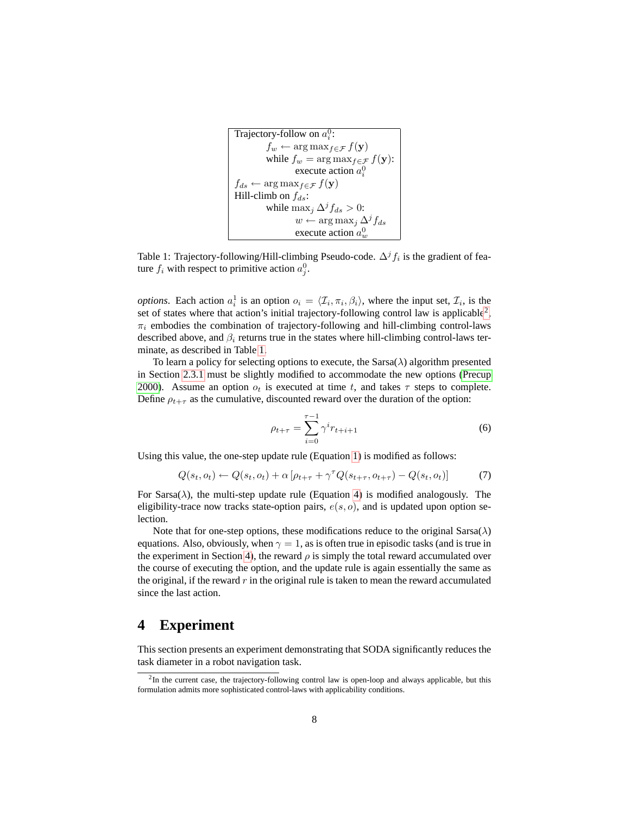```
Trajectory-follow on a_i^0:
f_w \leftarrow \arg \max_{f \in \mathcal{F}} f(\mathbf{y})while f_w = \arg \max_{f \in \mathcal{F}} f(\mathbf{y}):
            execute action a_i^0f_{ds} \leftarrow \arg \max_{f \in \mathcal{F}} f(\mathbf{y})Hill-climb on f_{ds}:
while \max_j \Delta^j f_{ds} > 0:
            w \leftarrow \arg \max_j \Delta^j f_{ds}execute action a_w^0
```
<span id="page-7-1"></span>Table 1: Trajectory-following/Hill-climbing Pseudo-code.  $\Delta^j f_i$  is the gradient of feature  $f_i$  with respect to primitive action  $a_j^0$ .

*options*. Each action  $a_i^1$  is an option  $o_i = \langle \mathcal{I}_i, \pi_i, \beta_i \rangle$ , where the input set,  $\mathcal{I}_i$ , is the set of states where that action's initial trajectory-following control law is applicable<sup>[2](#page-7-2)</sup>,  $\pi_i$  embodies the combination of trajectory-following and hill-climbing control-laws described above, and  $\beta_i$  returns true in the states where hill-climbing control-laws terminate, as described in Table [1.](#page-7-1)

To learn a policy for selecting options to execute, the  $Sarsa(\lambda)$  algorithm presented in Section [2.3.1](#page-4-0) must be slightly modified to accommodate the new options [\(Precup](#page-15-7) [2000\)](#page-15-7). Assume an option  $o_t$  is executed at time t, and takes  $\tau$  steps to complete. Define  $\rho_{t+\tau}$  as the cumulative, discounted reward over the duration of the option:

$$
\rho_{t+\tau} = \sum_{i=0}^{\tau-1} \gamma^i r_{t+i+1} \tag{6}
$$

Using this value, the one-step update rule (Equation [1\)](#page-4-1) is modified as follows:

$$
Q(s_t, o_t) \leftarrow Q(s_t, o_t) + \alpha \left[ \rho_{t+\tau} + \gamma^{\tau} Q(s_{t+\tau}, o_{t+\tau}) - Q(s_t, o_t) \right] \tag{7}
$$

For Sarsa( $\lambda$ ), the multi-step update rule (Equation [4\)](#page-4-2) is modified analogously. The eligibility-trace now tracks state-option pairs,  $e(s, o)$ , and is updated upon option selection.

Note that for one-step options, these modifications reduce to the original Sarsa( $\lambda$ ) equations. Also, obviously, when  $\gamma = 1$ , as is often true in episodic tasks (and is true in the experiment in Section [4\)](#page-7-0), the reward  $\rho$  is simply the total reward accumulated over the course of executing the option, and the update rule is again essentially the same as the original, if the reward  $r$  in the original rule is taken to mean the reward accumulated since the last action.

### <span id="page-7-0"></span>**4 Experiment**

This section presents an experiment demonstrating that SODA significantly reduces the task diameter in a robot navigation task.

<span id="page-7-2"></span> $2$ In the current case, the trajectory-following control law is open-loop and always applicable, but this formulation admits more sophisticated control-laws with applicability conditions.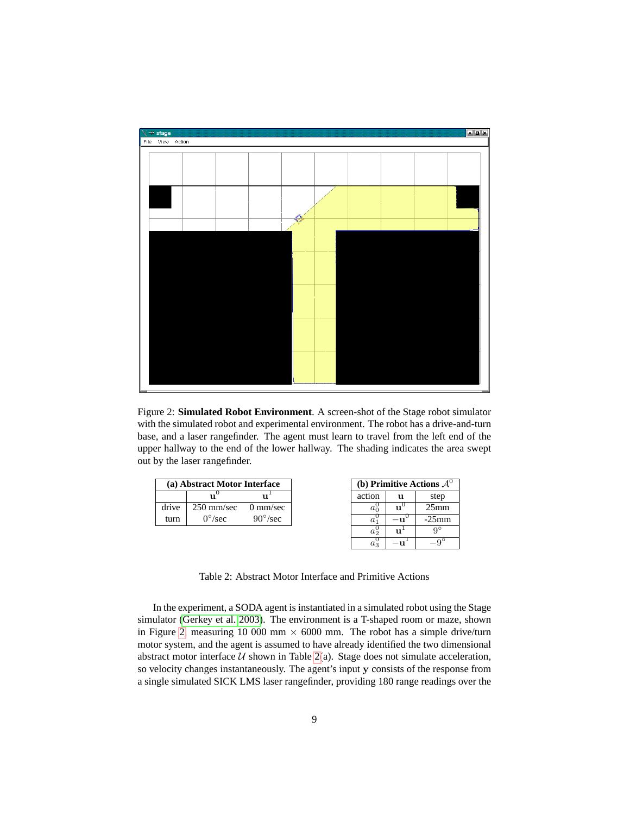

<span id="page-8-0"></span>Figure 2: **Simulated Robot Environment**. A screen-shot of the Stage robot simulator with the simulated robot and experimental environment. The robot has a drive-and-turn base, and a laser rangefinder. The agent must learn to travel from the left end of the upper hallway to the end of the lower hallway. The shading indicates the area swept out by the laser rangefinder.

| (a) Abstract Motor Interface |                 |                    |
|------------------------------|-----------------|--------------------|
|                              |                 | 111                |
| drive                        | $250$ mm/sec    | $0 \text{ mm/sec}$ |
| turn                         | $0^{\circ}/sec$ | $90^{\circ}/sec$   |

| (b) Primitive Actions $A$ |              |                  |  |
|---------------------------|--------------|------------------|--|
| action                    | 11           | step             |  |
| $a_0^0$                   | $11^{\circ}$ | 25 <sub>mm</sub> |  |
| $a_1$                     |              | $-25$ mm         |  |
| $a_2^0$                   | 11           | $Q^{\circ}$      |  |
|                           |              |                  |  |

<span id="page-8-1"></span>Table 2: Abstract Motor Interface and Primitive Actions

In the experiment, a SODA agent is instantiated in a simulated robot using the Stage simulator [\(Gerkey et al. 2003\)](#page-15-12). The environment is a T-shaped room or maze, shown in Figure [2,](#page-8-0) measuring 10 000 mm  $\times$  6000 mm. The robot has a simple drive/turn motor system, and the agent is assumed to have already identified the two dimensional abstract motor interface  $U$  shown in Table [2\(](#page-8-1)a). Stage does not simulate acceleration, so velocity changes instantaneously. The agent's input y consists of the response from a single simulated SICK LMS laser rangefinder, providing 180 range readings over the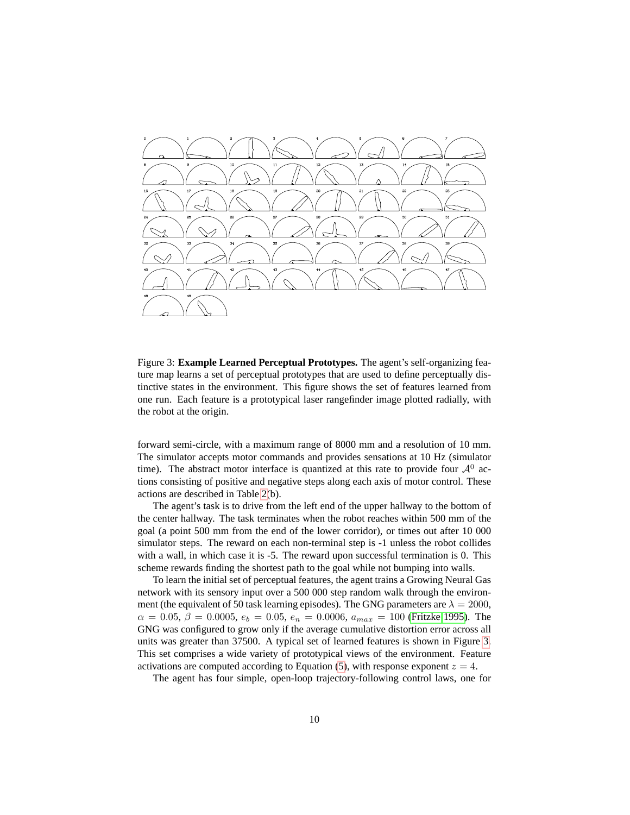

<span id="page-9-0"></span>Figure 3: **Example Learned Perceptual Prototypes.** The agent's self-organizing feature map learns a set of perceptual prototypes that are used to define perceptually distinctive states in the environment. This figure shows the set of features learned from one run. Each feature is a prototypical laser rangefinder image plotted radially, with the robot at the origin.

forward semi-circle, with a maximum range of 8000 mm and a resolution of 10 mm. The simulator accepts motor commands and provides sensations at 10 Hz (simulator time). The abstract motor interface is quantized at this rate to provide four  $\mathcal{A}^0$  actions consisting of positive and negative steps along each axis of motor control. These actions are described in Table [2\(](#page-8-1)b).

The agent's task is to drive from the left end of the upper hallway to the bottom of the center hallway. The task terminates when the robot reaches within 500 mm of the goal (a point 500 mm from the end of the lower corridor), or times out after 10 000 simulator steps. The reward on each non-terminal step is -1 unless the robot collides with a wall, in which case it is -5. The reward upon successful termination is 0. This scheme rewards finding the shortest path to the goal while not bumping into walls.

To learn the initial set of perceptual features, the agent trains a Growing Neural Gas network with its sensory input over a 500 000 step random walk through the environment (the equivalent of 50 task learning episodes). The GNG parameters are  $\lambda = 2000$ ,  $\alpha = 0.05, \beta = 0.0005, e_b = 0.05, e_n = 0.0006, a_{max} = 100$  [\(Fritzke 1995\)](#page-15-6). The GNG was configured to grow only if the average cumulative distortion error across all units was greater than 37500. A typical set of learned features is shown in Figure [3.](#page-9-0) This set comprises a wide variety of prototypical views of the environment. Feature activations are computed according to Equation [\(5\)](#page-6-0), with response exponent  $z = 4$ .

The agent has four simple, open-loop trajectory-following control laws, one for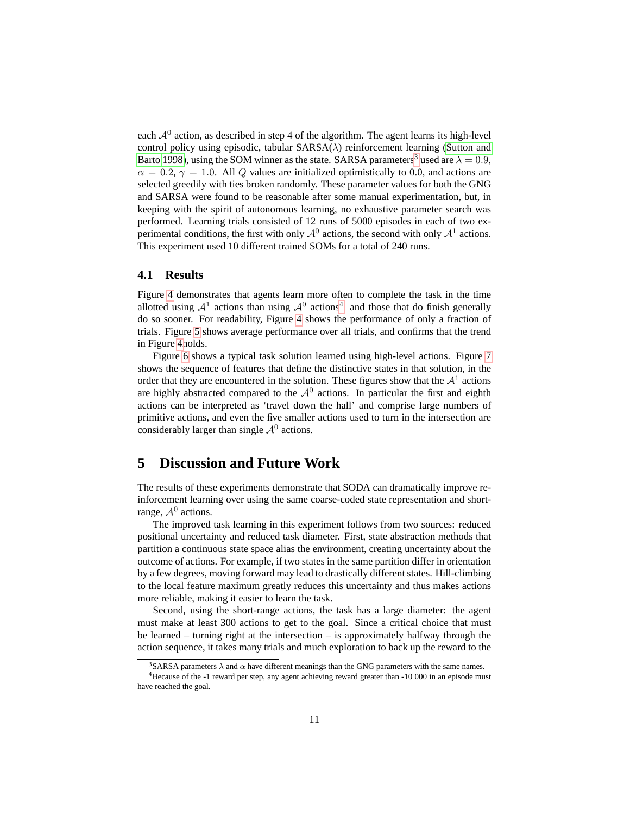each  $A<sup>0</sup>$  action, as described in step 4 of the algorithm. The agent learns its high-level control policy using episodic, tabular  $SARSA(\lambda)$  reinforcement learning [\(Sutton and](#page-16-2) [Barto 1998\)](#page-16-2), using the SOM winner as the state. SARSA parameters<sup>[3](#page-10-1)</sup> used are  $\lambda = 0.9$ ,  $\alpha = 0.2$ ,  $\gamma = 1.0$ . All Q values are initialized optimistically to 0.0, and actions are selected greedily with ties broken randomly. These parameter values for both the GNG and SARSA were found to be reasonable after some manual experimentation, but, in keeping with the spirit of autonomous learning, no exhaustive parameter search was performed. Learning trials consisted of 12 runs of 5000 episodes in each of two experimental conditions, the first with only  $A^0$  actions, the second with only  $A^1$  actions. This experiment used 10 different trained SOMs for a total of 240 runs.

#### **4.1 Results**

Figure [4](#page-11-0) demonstrates that agents learn more often to complete the task in the time allotted using  $A^1$  actions than using  $A^0$  actions<sup>[4](#page-10-2)</sup>, and those that do finish generally do so sooner. For readability, Figure [4](#page-11-0) shows the performance of only a fraction of trials. Figure [5](#page-12-0) shows average performance over all trials, and confirms that the trend in Figure [4h](#page-11-0)olds.

Figure [6](#page-13-0) shows a typical task solution learned using high-level actions. Figure [7](#page-14-2) shows the sequence of features that define the distinctive states in that solution, in the order that they are encountered in the solution. These figures show that the  $A<sup>1</sup>$  actions are highly abstracted compared to the  $A<sup>0</sup>$  actions. In particular the first and eighth actions can be interpreted as 'travel down the hall' and comprise large numbers of primitive actions, and even the five smaller actions used to turn in the intersection are considerably larger than single  $A^0$  actions.

# <span id="page-10-0"></span>**5 Discussion and Future Work**

The results of these experiments demonstrate that SODA can dramatically improve reinforcement learning over using the same coarse-coded state representation and shortrange,  $A^0$  actions.

The improved task learning in this experiment follows from two sources: reduced positional uncertainty and reduced task diameter. First, state abstraction methods that partition a continuous state space alias the environment, creating uncertainty about the outcome of actions. For example, if two states in the same partition differ in orientation by a few degrees, moving forward may lead to drastically different states. Hill-climbing to the local feature maximum greatly reduces this uncertainty and thus makes actions more reliable, making it easier to learn the task.

Second, using the short-range actions, the task has a large diameter: the agent must make at least 300 actions to get to the goal. Since a critical choice that must be learned – turning right at the intersection – is approximately halfway through the action sequence, it takes many trials and much exploration to back up the reward to the

<span id="page-10-2"></span><span id="page-10-1"></span><sup>&</sup>lt;sup>3</sup>SARSA parameters  $\lambda$  and  $\alpha$  have different meanings than the GNG parameters with the same names.

<sup>4</sup>Because of the -1 reward per step, any agent achieving reward greater than -10 000 in an episode must have reached the goal.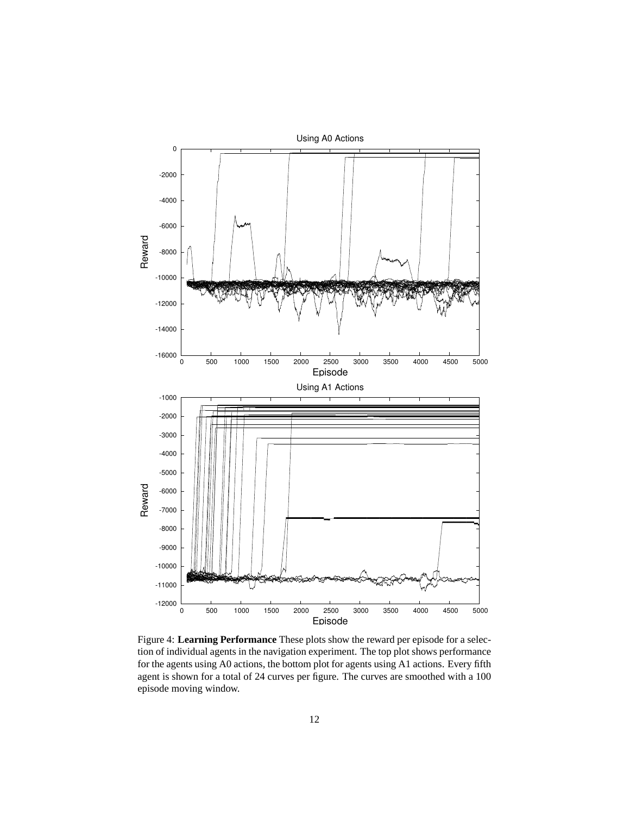

<span id="page-11-0"></span>Figure 4: **Learning Performance** These plots show the reward per episode for a selection of individual agents in the navigation experiment. The top plot shows performance for the agents using A0 actions, the bottom plot for agents using A1 actions. Every fifth agent is shown for a total of 24 curves per figure. The curves are smoothed with a 100 episode moving window.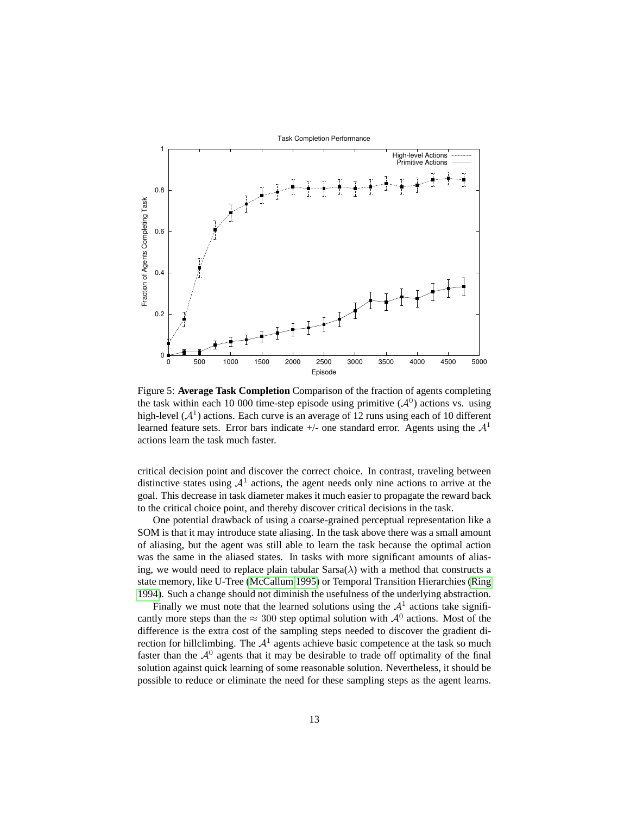

<span id="page-12-0"></span>Figure 5: **Average Task Completion** Comparison of the fraction of agents completing the task within each 10 000 time-step episode using primitive  $(A<sup>0</sup>)$  actions vs. using high-level  $(A^1)$  actions. Each curve is an average of 12 runs using each of 10 different learned feature sets. Error bars indicate  $+/-$  one standard error. Agents using the  $\mathcal{A}^1$ actions learn the task much faster.

critical decision point and discover the correct choice. In contrast, traveling between distinctive states using  $A<sup>1</sup>$  actions, the agent needs only nine actions to arrive at the goal. This decrease in task diameter makes it much easier to propagate the reward back to the critical choice point, and thereby discover critical decisions in the task.

One potential drawback of using a coarse-grained perceptual representation like a SOM is that it may introduce state aliasing. In the task above there was a small amount of aliasing, but the agent was still able to learn the task because the optimal action was the same in the aliased states. In tasks with more significant amounts of aliasing, we would need to replace plain tabular  $Sarsa(\lambda)$  with a method that constructs a state memory, like U-Tree [\(McCallum 1995\)](#page-15-13) or Temporal Transition Hierarchies [\(Ring](#page-15-14) [1994\)](#page-15-14). Such a change should not diminish the usefulness of the underlying abstraction.

Finally we must note that the learned solutions using the  $A<sup>1</sup>$  actions take significantly more steps than the  $\approx 300$  step optimal solution with  $\mathcal{A}^0$  actions. Most of the difference is the extra cost of the sampling steps needed to discover the gradient direction for hillclimbing. The  $A<sup>1</sup>$  agents achieve basic competence at the task so much faster than the  $A<sup>0</sup>$  agents that it may be desirable to trade off optimality of the final solution against quick learning of some reasonable solution. Nevertheless, it should be possible to reduce or eliminate the need for these sampling steps as the agent learns.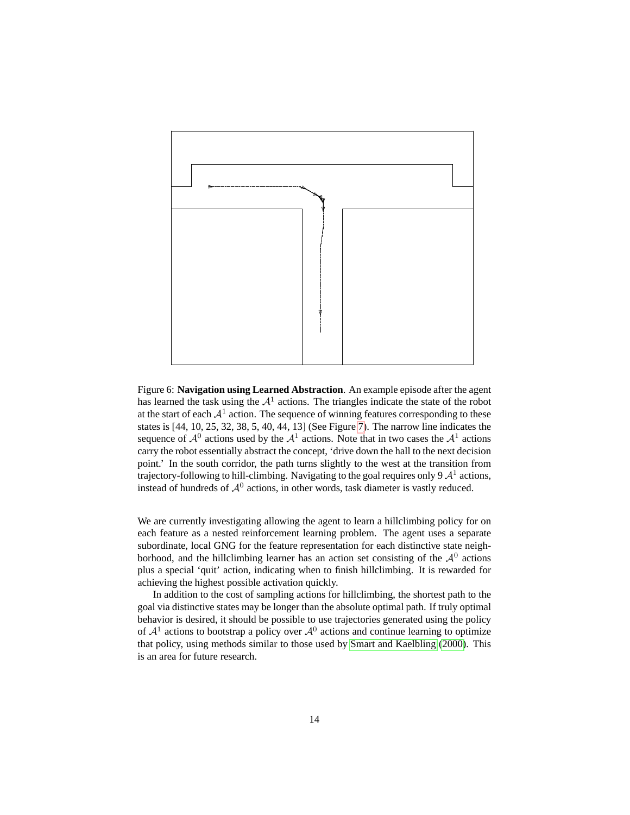

<span id="page-13-0"></span>Figure 6: **Navigation using Learned Abstraction**. An example episode after the agent has learned the task using the  $A<sup>1</sup>$  actions. The triangles indicate the state of the robot at the start of each  $A<sup>1</sup>$  action. The sequence of winning features corresponding to these states is [44, 10, 25, 32, 38, 5, 40, 44, 13] (See Figure [7\)](#page-14-2). The narrow line indicates the sequence of  $A^0$  actions used by the  $A^1$  actions. Note that in two cases the  $A^1$  actions carry the robot essentially abstract the concept, 'drive down the hall to the next decision point.' In the south corridor, the path turns slightly to the west at the transition from trajectory-following to hill-climbing. Navigating to the goal requires only 9  $\mathcal{A}^1$  actions, instead of hundreds of  $A^0$  actions, in other words, task diameter is vastly reduced.

We are currently investigating allowing the agent to learn a hillclimbing policy for on each feature as a nested reinforcement learning problem. The agent uses a separate subordinate, local GNG for the feature representation for each distinctive state neighborhood, and the hillclimbing learner has an action set consisting of the  $A^0$  actions plus a special 'quit' action, indicating when to finish hillclimbing. It is rewarded for achieving the highest possible activation quickly.

In addition to the cost of sampling actions for hillclimbing, the shortest path to the goal via distinctive states may be longer than the absolute optimal path. If truly optimal behavior is desired, it should be possible to use trajectories generated using the policy of  $A<sup>1</sup>$  actions to bootstrap a policy over  $A<sup>0</sup>$  actions and continue learning to optimize that policy, using methods similar to those used by [Smart and Kaelbling \(2000\)](#page-15-15). This is an area for future research.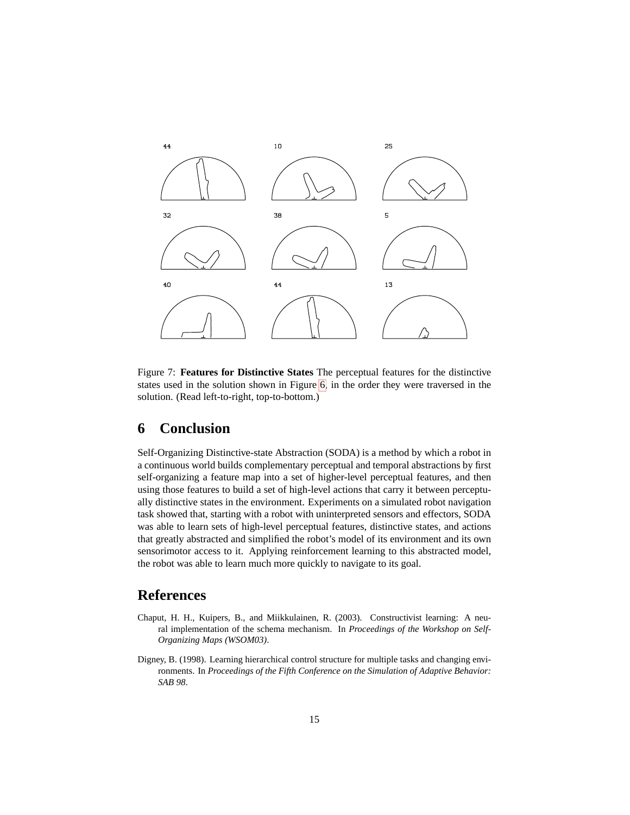

<span id="page-14-2"></span>Figure 7: **Features for Distinctive States** The perceptual features for the distinctive states used in the solution shown in Figure [6,](#page-13-0) in the order they were traversed in the solution. (Read left-to-right, top-to-bottom.)

# **6 Conclusion**

Self-Organizing Distinctive-state Abstraction (SODA) is a method by which a robot in a continuous world builds complementary perceptual and temporal abstractions by first self-organizing a feature map into a set of higher-level perceptual features, and then using those features to build a set of high-level actions that carry it between perceptually distinctive states in the environment. Experiments on a simulated robot navigation task showed that, starting with a robot with uninterpreted sensors and effectors, SODA was able to learn sets of high-level perceptual features, distinctive states, and actions that greatly abstracted and simplified the robot's model of its environment and its own sensorimotor access to it. Applying reinforcement learning to this abstracted model, the robot was able to learn much more quickly to navigate to its goal.

# **References**

- <span id="page-14-0"></span>Chaput, H. H., Kuipers, B., and Miikkulainen, R. (2003). Constructivist learning: A neural implementation of the schema mechanism. In *Proceedings of the Workshop on Self-Organizing Maps (WSOM03)*.
- <span id="page-14-1"></span>Digney, B. (1998). Learning hierarchical control structure for multiple tasks and changing environments. In *Proceedings of the Fifth Conference on the Simulation of Adaptive Behavior: SAB 98*.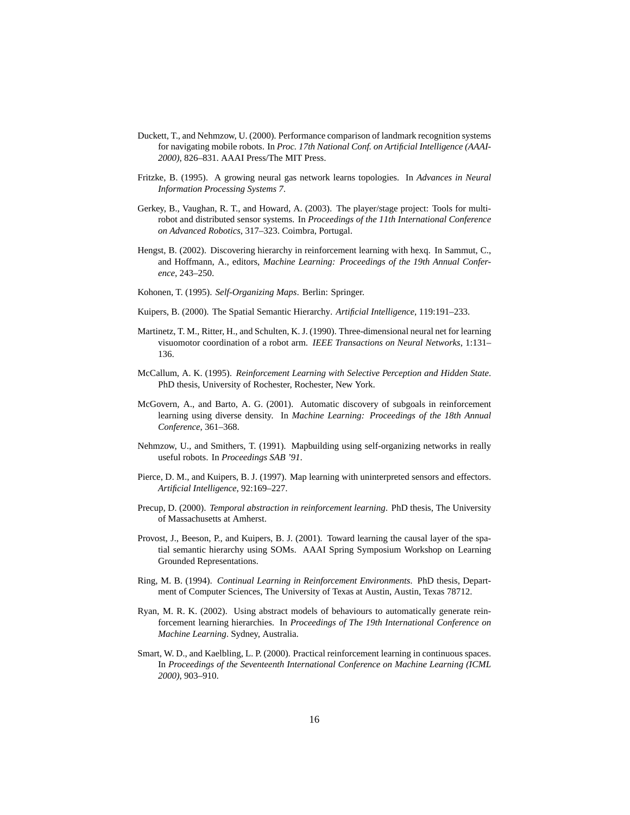- <span id="page-15-3"></span>Duckett, T., and Nehmzow, U. (2000). Performance comparison of landmark recognition systems for navigating mobile robots. In *Proc. 17th National Conf. on Artificial Intelligence (AAAI-2000)*, 826–831. AAAI Press/The MIT Press.
- <span id="page-15-6"></span>Fritzke, B. (1995). A growing neural gas network learns topologies. In *Advances in Neural Information Processing Systems 7*.
- <span id="page-15-12"></span>Gerkey, B., Vaughan, R. T., and Howard, A. (2003). The player/stage project: Tools for multirobot and distributed sensor systems. In *Proceedings of the 11th International Conference on Advanced Robotics*, 317–323. Coimbra, Portugal.
- <span id="page-15-10"></span>Hengst, B. (2002). Discovering hierarchy in reinforcement learning with hexq. In Sammut, C., and Hoffmann, A., editors, *Machine Learning: Proceedings of the 19th Annual Conference*, 243–250.
- <span id="page-15-0"></span>Kohonen, T. (1995). *Self-Organizing Maps*. Berlin: Springer.
- <span id="page-15-1"></span>Kuipers, B. (2000). The Spatial Semantic Hierarchy. *Artificial Intelligence*, 119:191–233.
- <span id="page-15-2"></span>Martinetz, T. M., Ritter, H., and Schulten, K. J. (1990). Three-dimensional neural net for learning visuomotor coordination of a robot arm. *IEEE Transactions on Neural Networks*, 1:131– 136.
- <span id="page-15-13"></span>McCallum, A. K. (1995). *Reinforcement Learning with Selective Perception and Hidden State*. PhD thesis, University of Rochester, Rochester, New York.
- <span id="page-15-8"></span>McGovern, A., and Barto, A. G. (2001). Automatic discovery of subgoals in reinforcement learning using diverse density. In *Machine Learning: Proceedings of the 18th Annual Conference*, 361–368.
- <span id="page-15-4"></span>Nehmzow, U., and Smithers, T. (1991). Mapbuilding using self-organizing networks in really useful robots. In *Proceedings SAB '91*.
- <span id="page-15-11"></span>Pierce, D. M., and Kuipers, B. J. (1997). Map learning with uninterpreted sensors and effectors. *Artificial Intelligence*, 92:169–227.
- <span id="page-15-7"></span>Precup, D. (2000). *Temporal abstraction in reinforcement learning*. PhD thesis, The University of Massachusetts at Amherst.
- <span id="page-15-5"></span>Provost, J., Beeson, P., and Kuipers, B. J. (2001). Toward learning the causal layer of the spatial semantic hierarchy using SOMs. AAAI Spring Symposium Workshop on Learning Grounded Representations.
- <span id="page-15-14"></span>Ring, M. B. (1994). *Continual Learning in Reinforcement Environments*. PhD thesis, Department of Computer Sciences, The University of Texas at Austin, Austin, Texas 78712.
- <span id="page-15-9"></span>Ryan, M. R. K. (2002). Using abstract models of behaviours to automatically generate reinforcement learning hierarchies. In *Proceedings of The 19th International Conference on Machine Learning*. Sydney, Australia.
- <span id="page-15-15"></span>Smart, W. D., and Kaelbling, L. P. (2000). Practical reinforcement learning in continuous spaces. In *Proceedings of the Seventeenth International Conference on Machine Learning (ICML 2000)*, 903–910.